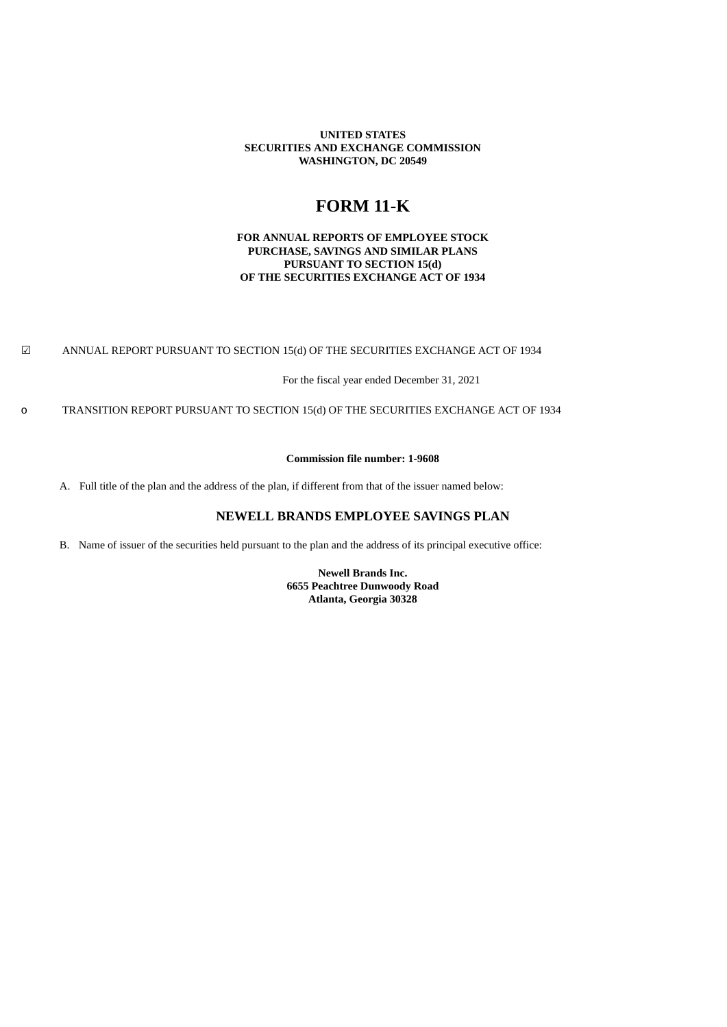**UNITED STATES SECURITIES AND EXCHANGE COMMISSION WASHINGTON, DC 20549**

# **FORM 11-K**

## **FOR ANNUAL REPORTS OF EMPLOYEE STOCK PURCHASE, SAVINGS AND SIMILAR PLANS PURSUANT TO SECTION 15(d) OF THE SECURITIES EXCHANGE ACT OF 1934**

☑ ANNUAL REPORT PURSUANT TO SECTION 15(d) OF THE SECURITIES EXCHANGE ACT OF 1934

For the fiscal year ended December 31, 2021

o TRANSITION REPORT PURSUANT TO SECTION 15(d) OF THE SECURITIES EXCHANGE ACT OF 1934

#### **Commission file number: 1-9608**

A. Full title of the plan and the address of the plan, if different from that of the issuer named below:

## **NEWELL BRANDS EMPLOYEE SAVINGS PLAN**

B. Name of issuer of the securities held pursuant to the plan and the address of its principal executive office:

**Newell Brands Inc. 6655 Peachtree Dunwoody Road Atlanta, Georgia 30328**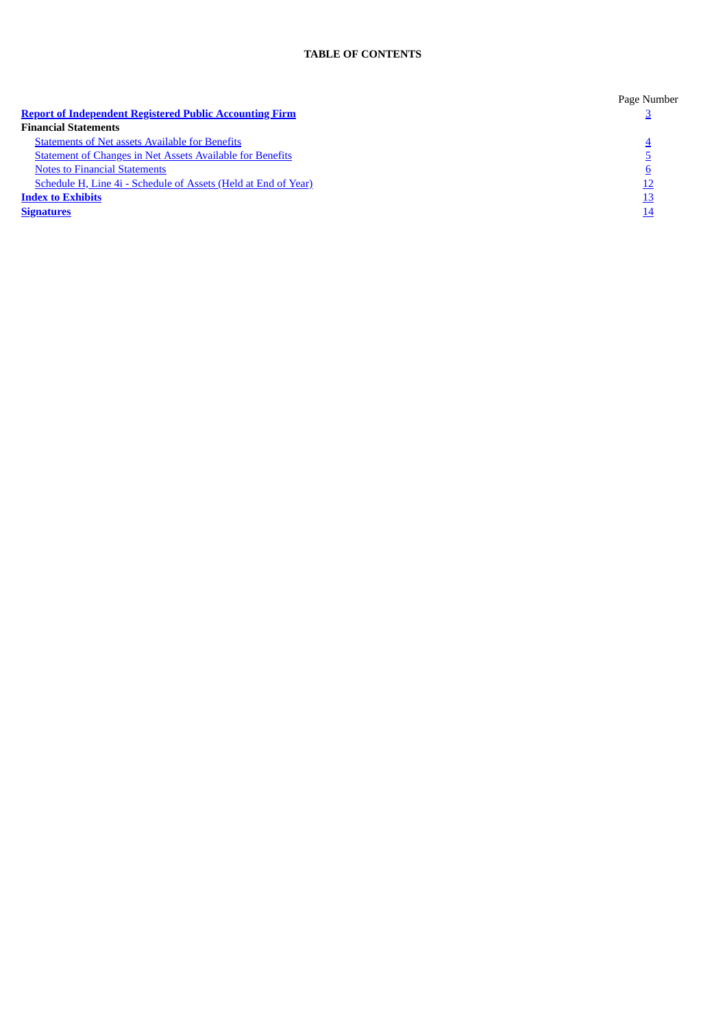<span id="page-1-0"></span>

|                                                                  | Page Number |
|------------------------------------------------------------------|-------------|
| <b>Report of Independent Registered Public Accounting Firm</b>   |             |
| <b>Financial Statements</b>                                      |             |
| <b>Statements of Net assets Available for Benefits</b>           |             |
| <b>Statement of Changes in Net Assets Available for Benefits</b> |             |
| <b>Notes to Financial Statements</b>                             |             |
| Schedule H, Line 4i - Schedule of Assets (Held at End of Year)   |             |
| <b>Index to Exhibits</b>                                         | 13          |
| <b>Signatures</b>                                                |             |
|                                                                  |             |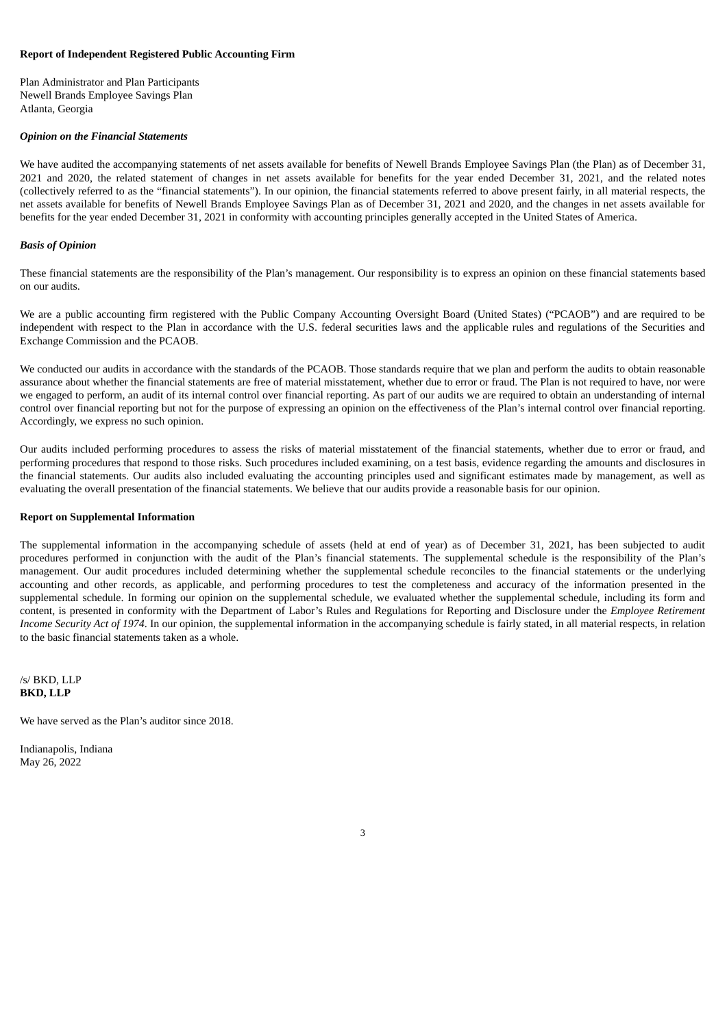#### **Report of Independent Registered Public Accounting Firm**

Plan Administrator and Plan Participants Newell Brands Employee Savings Plan Atlanta, Georgia

#### *Opinion on the Financial Statements*

We have audited the accompanying statements of net assets available for benefits of Newell Brands Employee Savings Plan (the Plan) as of December 31, 2021 and 2020, the related statement of changes in net assets available for benefits for the year ended December 31, 2021, and the related notes (collectively referred to as the "financial statements"). In our opinion, the financial statements referred to above present fairly, in all material respects, the net assets available for benefits of Newell Brands Employee Savings Plan as of December 31, 2021 and 2020, and the changes in net assets available for benefits for the year ended December 31, 2021 in conformity with accounting principles generally accepted in the United States of America.

#### *Basis of Opinion*

These financial statements are the responsibility of the Plan's management. Our responsibility is to express an opinion on these financial statements based on our audits.

We are a public accounting firm registered with the Public Company Accounting Oversight Board (United States) ("PCAOB") and are required to be independent with respect to the Plan in accordance with the U.S. federal securities laws and the applicable rules and regulations of the Securities and Exchange Commission and the PCAOB.

We conducted our audits in accordance with the standards of the PCAOB. Those standards require that we plan and perform the audits to obtain reasonable assurance about whether the financial statements are free of material misstatement, whether due to error or fraud. The Plan is not required to have, nor were we engaged to perform, an audit of its internal control over financial reporting. As part of our audits we are required to obtain an understanding of internal control over financial reporting but not for the purpose of expressing an opinion on the effectiveness of the Plan's internal control over financial reporting. Accordingly, we express no such opinion.

Our audits included performing procedures to assess the risks of material misstatement of the financial statements, whether due to error or fraud, and performing procedures that respond to those risks. Such procedures included examining, on a test basis, evidence regarding the amounts and disclosures in the financial statements. Our audits also included evaluating the accounting principles used and significant estimates made by management, as well as evaluating the overall presentation of the financial statements. We believe that our audits provide a reasonable basis for our opinion.

#### **Report on Supplemental Information**

The supplemental information in the accompanying schedule of assets (held at end of year) as of December 31, 2021, has been subjected to audit procedures performed in conjunction with the audit of the Plan's financial statements. The supplemental schedule is the responsibility of the Plan's management. Our audit procedures included determining whether the supplemental schedule reconciles to the financial statements or the underlying accounting and other records, as applicable, and performing procedures to test the completeness and accuracy of the information presented in the supplemental schedule. In forming our opinion on the supplemental schedule, we evaluated whether the supplemental schedule, including its form and content, is presented in conformity with the Department of Labor's Rules and Regulations for Reporting and Disclosure under the *Employee Retirement Income Security Act of 1974*. In our opinion, the supplemental information in the accompanying schedule is fairly stated, in all material respects, in relation to the basic financial statements taken as a whole.

/s/ BKD, LLP **BKD, LLP**

We have served as the Plan's auditor since 2018.

<span id="page-2-0"></span>Indianapolis, Indiana May 26, 2022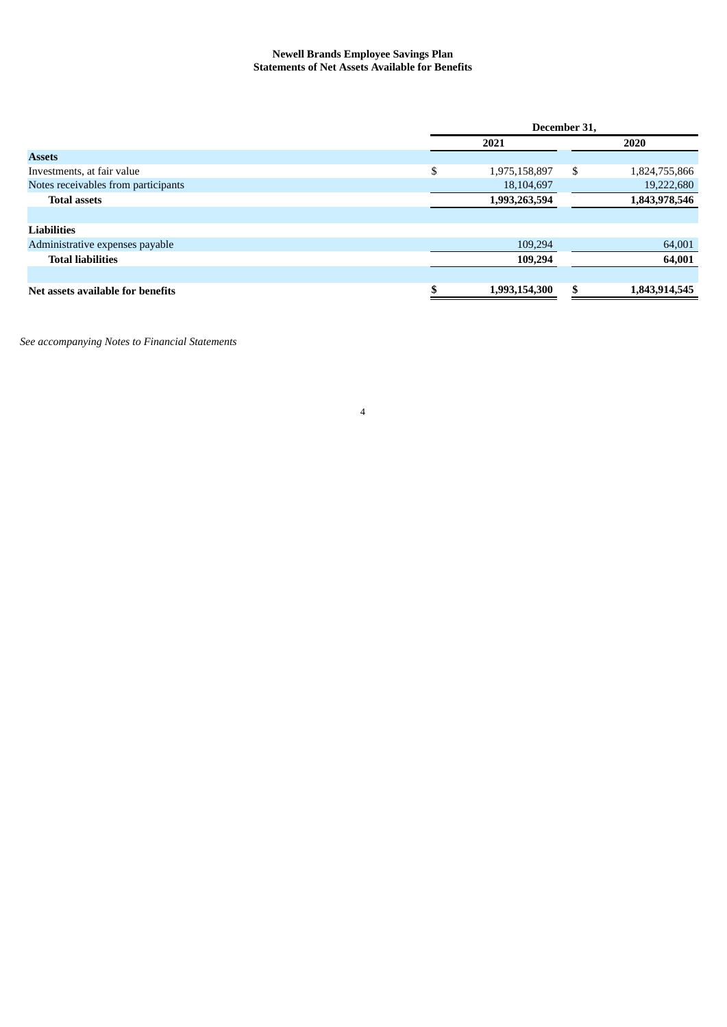### **Newell Brands Employee Savings Plan Statements of Net Assets Available for Benefits**

|                                     | December 31, |               |    |               |
|-------------------------------------|--------------|---------------|----|---------------|
|                                     | 2021         |               |    | 2020          |
| <b>Assets</b>                       |              |               |    |               |
| Investments, at fair value          | \$           | 1,975,158,897 | S  | 1,824,755,866 |
| Notes receivables from participants |              | 18,104,697    |    | 19,222,680    |
| <b>Total assets</b>                 |              | 1,993,263,594 |    | 1,843,978,546 |
|                                     |              |               |    |               |
| <b>Liabilities</b>                  |              |               |    |               |
| Administrative expenses payable     |              | 109,294       |    | 64,001        |
| <b>Total liabilities</b>            |              | 109,294       |    | 64,001        |
|                                     |              |               |    |               |
| Net assets available for benefits   | \$           | 1,993,154,300 | \$ | 1,843,914,545 |

<span id="page-3-0"></span>*See accompanying Notes to Financial Statements*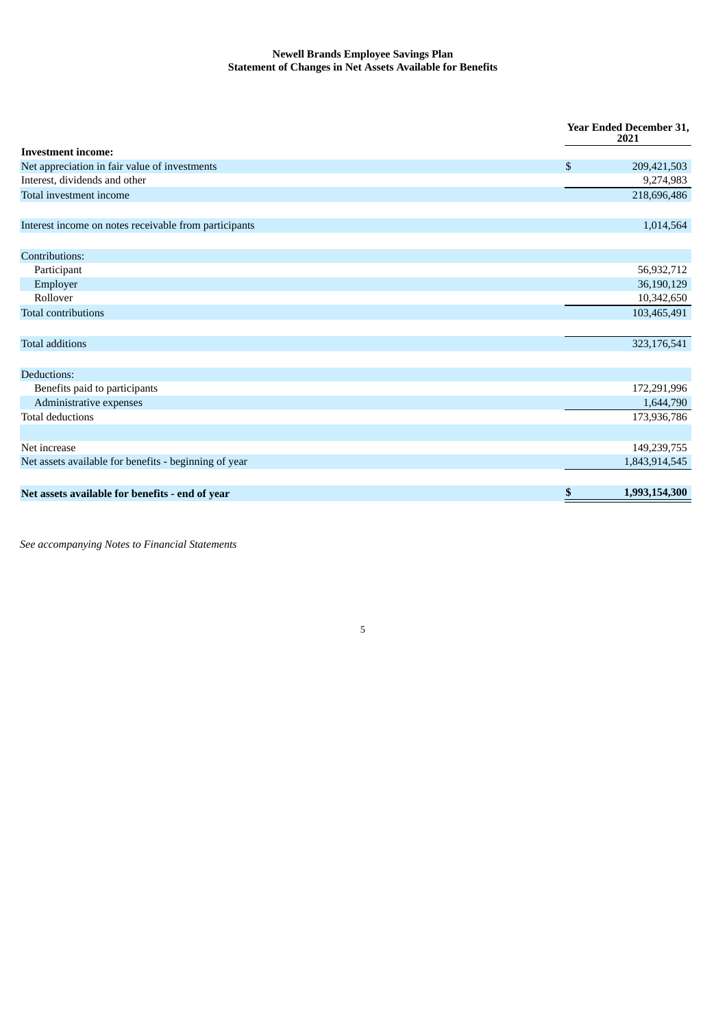## **Newell Brands Employee Savings Plan Statement of Changes in Net Assets Available for Benefits**

|                                                       |    | <b>Year Ended December 31,</b><br>2021 |
|-------------------------------------------------------|----|----------------------------------------|
| <b>Investment income:</b>                             |    |                                        |
| Net appreciation in fair value of investments         | \$ | 209,421,503                            |
| Interest, dividends and other                         |    | 9,274,983                              |
| Total investment income                               |    | 218,696,486                            |
| Interest income on notes receivable from participants |    | 1,014,564                              |
| Contributions:                                        |    |                                        |
| Participant                                           |    | 56,932,712                             |
| Employer                                              |    | 36,190,129                             |
| Rollover                                              |    | 10,342,650                             |
| <b>Total contributions</b>                            |    | 103,465,491                            |
| <b>Total additions</b>                                |    | 323,176,541                            |
| Deductions:                                           |    |                                        |
| Benefits paid to participants                         |    | 172,291,996                            |
| Administrative expenses                               |    | 1,644,790                              |
| <b>Total deductions</b>                               |    | 173,936,786                            |
|                                                       |    |                                        |
| Net increase                                          |    | 149,239,755                            |
| Net assets available for benefits - beginning of year |    | 1,843,914,545                          |
| Net assets available for benefits - end of year       | 5  | 1,993,154,300                          |

<span id="page-4-0"></span>*See accompanying Notes to Financial Statements*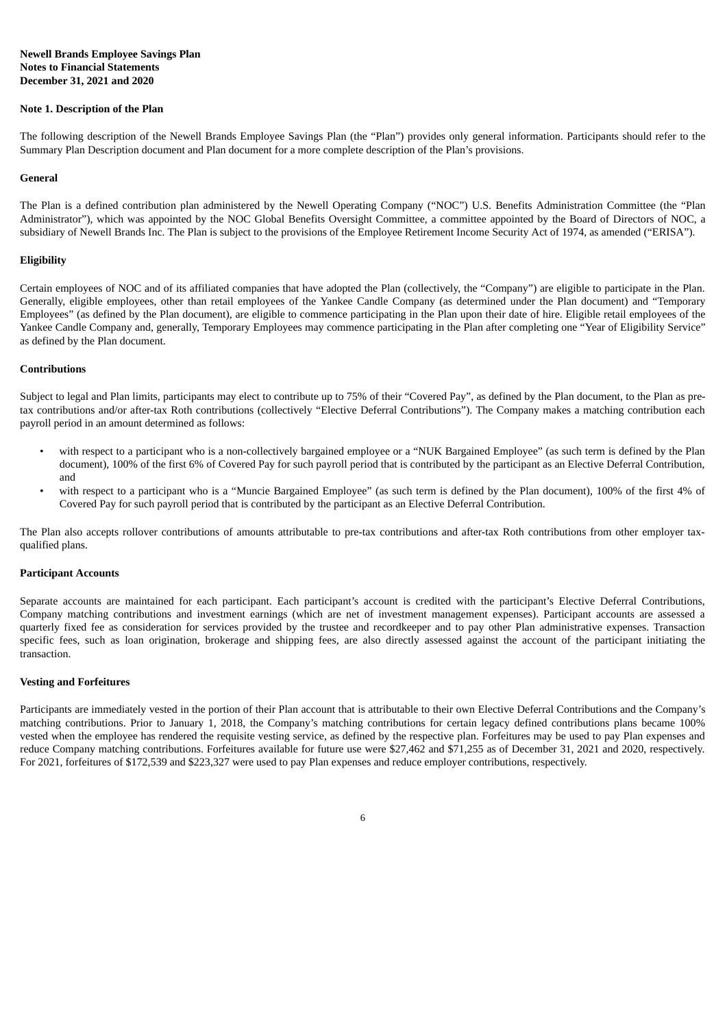#### **Newell Brands Employee Savings Plan Notes to Financial Statements December 31, 2021 and 2020**

#### <span id="page-5-0"></span>**Note 1. Description of the Plan**

The following description of the Newell Brands Employee Savings Plan (the "Plan") provides only general information. Participants should refer to the Summary Plan Description document and Plan document for a more complete description of the Plan's provisions.

#### **General**

The Plan is a defined contribution plan administered by the Newell Operating Company ("NOC") U.S. Benefits Administration Committee (the "Plan Administrator"), which was appointed by the NOC Global Benefits Oversight Committee, a committee appointed by the Board of Directors of NOC, a subsidiary of Newell Brands Inc. The Plan is subject to the provisions of the Employee Retirement Income Security Act of 1974, as amended ("ERISA").

#### **Eligibility**

Certain employees of NOC and of its affiliated companies that have adopted the Plan (collectively, the "Company") are eligible to participate in the Plan. Generally, eligible employees, other than retail employees of the Yankee Candle Company (as determined under the Plan document) and "Temporary Employees" (as defined by the Plan document), are eligible to commence participating in the Plan upon their date of hire. Eligible retail employees of the Yankee Candle Company and, generally, Temporary Employees may commence participating in the Plan after completing one "Year of Eligibility Service" as defined by the Plan document.

#### **Contributions**

Subject to legal and Plan limits, participants may elect to contribute up to 75% of their "Covered Pay", as defined by the Plan document, to the Plan as pretax contributions and/or after-tax Roth contributions (collectively "Elective Deferral Contributions"). The Company makes a matching contribution each payroll period in an amount determined as follows:

- with respect to a participant who is a non-collectively bargained employee or a "NUK Bargained Employee" (as such term is defined by the Plan document), 100% of the first 6% of Covered Pay for such payroll period that is contributed by the participant as an Elective Deferral Contribution, and
- with respect to a participant who is a "Muncie Bargained Employee" (as such term is defined by the Plan document), 100% of the first 4% of Covered Pay for such payroll period that is contributed by the participant as an Elective Deferral Contribution.

The Plan also accepts rollover contributions of amounts attributable to pre-tax contributions and after-tax Roth contributions from other employer taxqualified plans.

#### **Participant Accounts**

Separate accounts are maintained for each participant. Each participant's account is credited with the participant's Elective Deferral Contributions, Company matching contributions and investment earnings (which are net of investment management expenses). Participant accounts are assessed a quarterly fixed fee as consideration for services provided by the trustee and recordkeeper and to pay other Plan administrative expenses. Transaction specific fees, such as loan origination, brokerage and shipping fees, are also directly assessed against the account of the participant initiating the transaction.

#### **Vesting and Forfeitures**

Participants are immediately vested in the portion of their Plan account that is attributable to their own Elective Deferral Contributions and the Company's matching contributions. Prior to January 1, 2018, the Company's matching contributions for certain legacy defined contributions plans became 100% vested when the employee has rendered the requisite vesting service, as defined by the respective plan. Forfeitures may be used to pay Plan expenses and reduce Company matching contributions. Forfeitures available for future use were \$27,462 and \$71,255 as of December 31, 2021 and 2020, respectively. For 2021, forfeitures of \$172,539 and \$223,327 were used to pay Plan expenses and reduce employer contributions, respectively.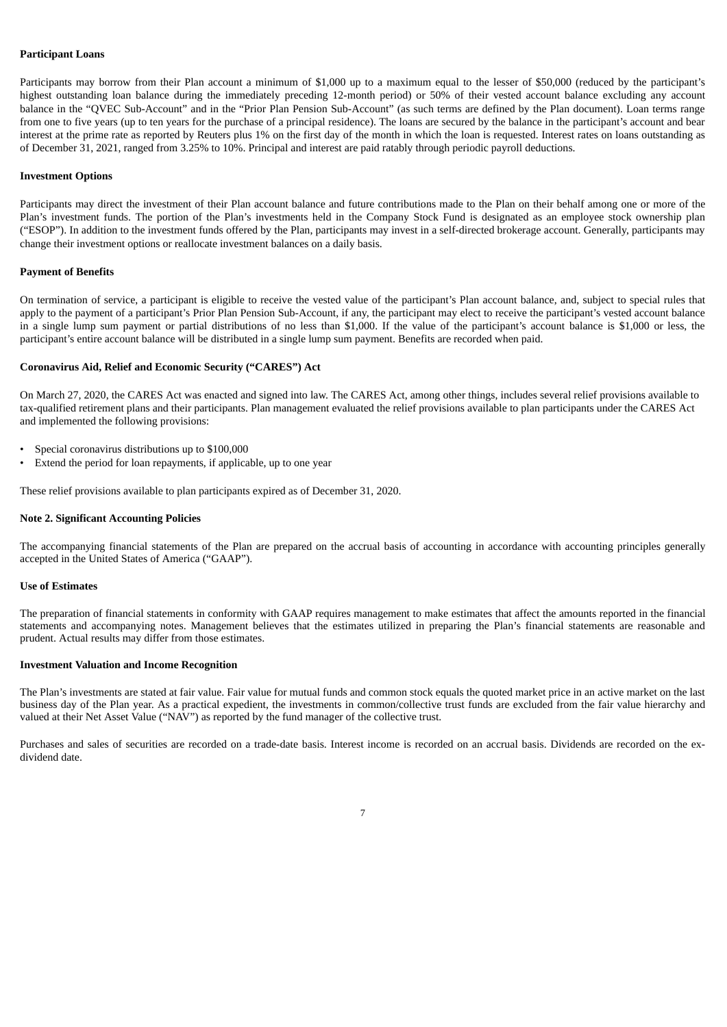#### **Participant Loans**

Participants may borrow from their Plan account a minimum of \$1,000 up to a maximum equal to the lesser of \$50,000 (reduced by the participant's highest outstanding loan balance during the immediately preceding 12-month period) or 50% of their vested account balance excluding any account balance in the "QVEC Sub-Account" and in the "Prior Plan Pension Sub-Account" (as such terms are defined by the Plan document). Loan terms range from one to five years (up to ten years for the purchase of a principal residence). The loans are secured by the balance in the participant's account and bear interest at the prime rate as reported by Reuters plus 1% on the first day of the month in which the loan is requested. Interest rates on loans outstanding as of December 31, 2021, ranged from 3.25% to 10%. Principal and interest are paid ratably through periodic payroll deductions.

#### **Investment Options**

Participants may direct the investment of their Plan account balance and future contributions made to the Plan on their behalf among one or more of the Plan's investment funds. The portion of the Plan's investments held in the Company Stock Fund is designated as an employee stock ownership plan ("ESOP"). In addition to the investment funds offered by the Plan, participants may invest in a self-directed brokerage account. Generally, participants may change their investment options or reallocate investment balances on a daily basis.

#### **Payment of Benefits**

On termination of service, a participant is eligible to receive the vested value of the participant's Plan account balance, and, subject to special rules that apply to the payment of a participant's Prior Plan Pension Sub-Account, if any, the participant may elect to receive the participant's vested account balance in a single lump sum payment or partial distributions of no less than \$1,000. If the value of the participant's account balance is \$1,000 or less, the participant's entire account balance will be distributed in a single lump sum payment. Benefits are recorded when paid.

#### **Coronavirus Aid, Relief and Economic Security ("CARES") Act**

On March 27, 2020, the CARES Act was enacted and signed into law. The CARES Act, among other things, includes several relief provisions available to tax-qualified retirement plans and their participants. Plan management evaluated the relief provisions available to plan participants under the CARES Act and implemented the following provisions:

- Special coronavirus distributions up to \$100,000
- Extend the period for loan repayments, if applicable, up to one year

These relief provisions available to plan participants expired as of December 31, 2020.

#### **Note 2. Significant Accounting Policies**

The accompanying financial statements of the Plan are prepared on the accrual basis of accounting in accordance with accounting principles generally accepted in the United States of America ("GAAP").

#### **Use of Estimates**

The preparation of financial statements in conformity with GAAP requires management to make estimates that affect the amounts reported in the financial statements and accompanying notes. Management believes that the estimates utilized in preparing the Plan's financial statements are reasonable and prudent. Actual results may differ from those estimates.

#### **Investment Valuation and Income Recognition**

The Plan's investments are stated at fair value. Fair value for mutual funds and common stock equals the quoted market price in an active market on the last business day of the Plan year. As a practical expedient, the investments in common/collective trust funds are excluded from the fair value hierarchy and valued at their Net Asset Value ("NAV") as reported by the fund manager of the collective trust.

Purchases and sales of securities are recorded on a trade-date basis. Interest income is recorded on an accrual basis. Dividends are recorded on the exdividend date.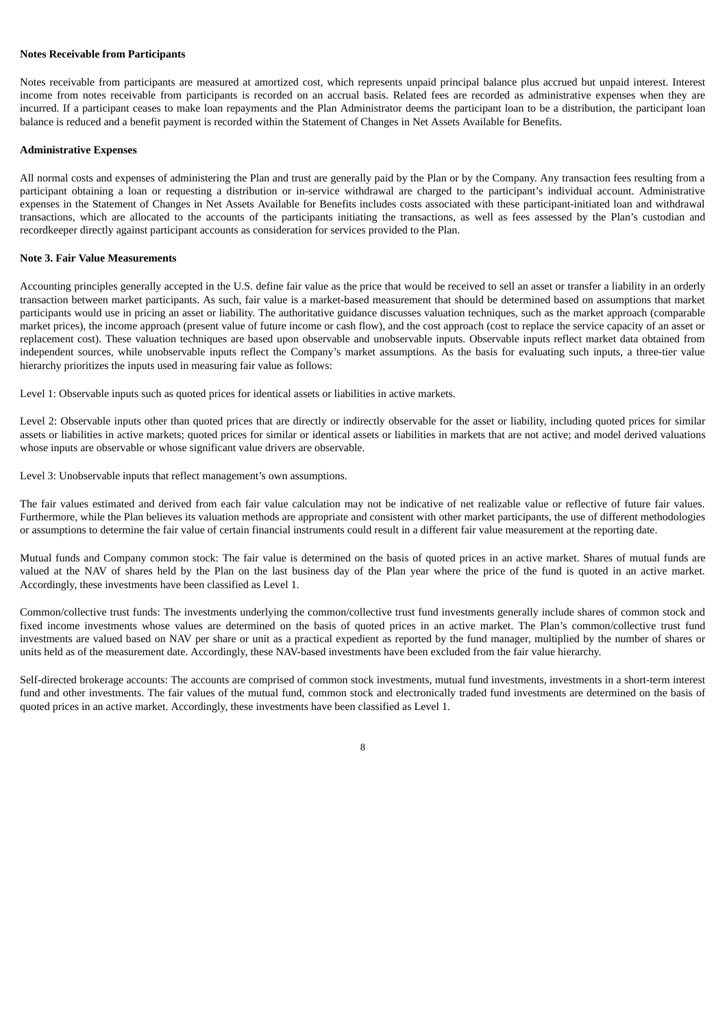#### **Notes Receivable from Participants**

Notes receivable from participants are measured at amortized cost, which represents unpaid principal balance plus accrued but unpaid interest. Interest income from notes receivable from participants is recorded on an accrual basis. Related fees are recorded as administrative expenses when they are incurred. If a participant ceases to make loan repayments and the Plan Administrator deems the participant loan to be a distribution, the participant loan balance is reduced and a benefit payment is recorded within the Statement of Changes in Net Assets Available for Benefits.

#### **Administrative Expenses**

All normal costs and expenses of administering the Plan and trust are generally paid by the Plan or by the Company. Any transaction fees resulting from a participant obtaining a loan or requesting a distribution or in-service withdrawal are charged to the participant's individual account. Administrative expenses in the Statement of Changes in Net Assets Available for Benefits includes costs associated with these participant-initiated loan and withdrawal transactions, which are allocated to the accounts of the participants initiating the transactions, as well as fees assessed by the Plan's custodian and recordkeeper directly against participant accounts as consideration for services provided to the Plan.

#### **Note 3. Fair Value Measurements**

Accounting principles generally accepted in the U.S. define fair value as the price that would be received to sell an asset or transfer a liability in an orderly transaction between market participants. As such, fair value is a market-based measurement that should be determined based on assumptions that market participants would use in pricing an asset or liability. The authoritative guidance discusses valuation techniques, such as the market approach (comparable market prices), the income approach (present value of future income or cash flow), and the cost approach (cost to replace the service capacity of an asset or replacement cost). These valuation techniques are based upon observable and unobservable inputs. Observable inputs reflect market data obtained from independent sources, while unobservable inputs reflect the Company's market assumptions. As the basis for evaluating such inputs, a three-tier value hierarchy prioritizes the inputs used in measuring fair value as follows:

Level 1: Observable inputs such as quoted prices for identical assets or liabilities in active markets.

Level 2: Observable inputs other than quoted prices that are directly or indirectly observable for the asset or liability, including quoted prices for similar assets or liabilities in active markets; quoted prices for similar or identical assets or liabilities in markets that are not active; and model derived valuations whose inputs are observable or whose significant value drivers are observable.

Level 3: Unobservable inputs that reflect management's own assumptions.

The fair values estimated and derived from each fair value calculation may not be indicative of net realizable value or reflective of future fair values. Furthermore, while the Plan believes its valuation methods are appropriate and consistent with other market participants, the use of different methodologies or assumptions to determine the fair value of certain financial instruments could result in a different fair value measurement at the reporting date.

Mutual funds and Company common stock: The fair value is determined on the basis of quoted prices in an active market. Shares of mutual funds are valued at the NAV of shares held by the Plan on the last business day of the Plan year where the price of the fund is quoted in an active market. Accordingly, these investments have been classified as Level 1.

Common/collective trust funds: The investments underlying the common/collective trust fund investments generally include shares of common stock and fixed income investments whose values are determined on the basis of quoted prices in an active market. The Plan's common/collective trust fund investments are valued based on NAV per share or unit as a practical expedient as reported by the fund manager, multiplied by the number of shares or units held as of the measurement date. Accordingly, these NAV-based investments have been excluded from the fair value hierarchy.

Self-directed brokerage accounts: The accounts are comprised of common stock investments, mutual fund investments, investments in a short-term interest fund and other investments. The fair values of the mutual fund, common stock and electronically traded fund investments are determined on the basis of quoted prices in an active market. Accordingly, these investments have been classified as Level 1.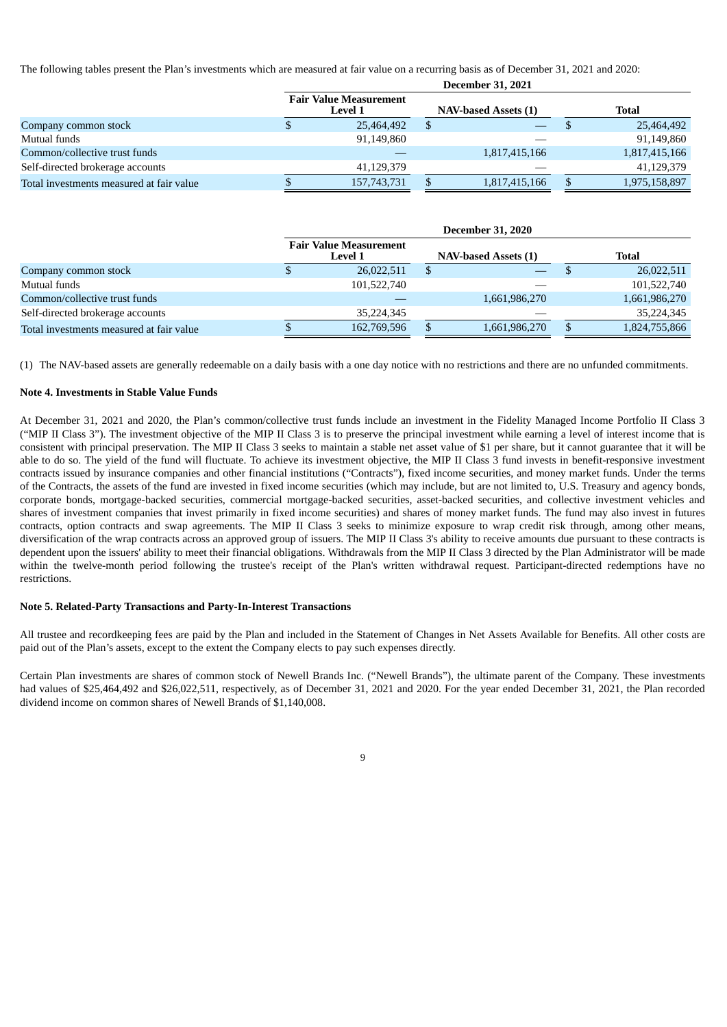The following tables present the Plan's investments which are measured at fair value on a recurring basis as of December 31, 2021 and 2020:

|                                          | <b>December 31, 2021</b>                        |             |                             |               |       |               |
|------------------------------------------|-------------------------------------------------|-------------|-----------------------------|---------------|-------|---------------|
|                                          | <b>Fair Value Measurement</b><br><b>Level 1</b> |             | <b>NAV-based Assets (1)</b> |               | Total |               |
| Company common stock                     |                                                 | 25,464,492  |                             |               |       | 25,464,492    |
| Mutual funds                             |                                                 | 91,149,860  |                             |               |       | 91,149,860    |
| Common/collective trust funds            |                                                 |             |                             | 1,817,415,166 |       | 1,817,415,166 |
| Self-directed brokerage accounts         |                                                 | 41,129,379  |                             |               |       | 41,129,379    |
| Total investments measured at fair value |                                                 | 157,743,731 |                             | 1,817,415,166 |       | 1,975,158,897 |

|                                          | <b>December 31, 2020</b> |                                                 |  |                             |               |
|------------------------------------------|--------------------------|-------------------------------------------------|--|-----------------------------|---------------|
|                                          |                          | <b>Fair Value Measurement</b><br><b>Level 1</b> |  | <b>NAV-based Assets (1)</b> | Total         |
| Company common stock                     |                          | 26,022,511                                      |  |                             | 26,022,511    |
| Mutual funds                             |                          | 101,522,740                                     |  |                             | 101,522,740   |
| Common/collective trust funds            |                          |                                                 |  | 1,661,986,270               | 1,661,986,270 |
| Self-directed brokerage accounts         |                          | 35,224,345                                      |  |                             | 35,224,345    |
| Total investments measured at fair value |                          | 162,769,596                                     |  | 1,661,986,270               | 1,824,755,866 |

(1) The NAV-based assets are generally redeemable on a daily basis with a one day notice with no restrictions and there are no unfunded commitments.

#### **Note 4. Investments in Stable Value Funds**

At December 31, 2021 and 2020, the Plan's common/collective trust funds include an investment in the Fidelity Managed Income Portfolio II Class 3 ("MIP II Class 3"). The investment objective of the MIP II Class 3 is to preserve the principal investment while earning a level of interest income that is consistent with principal preservation. The MIP II Class 3 seeks to maintain a stable net asset value of \$1 per share, but it cannot guarantee that it will be able to do so. The yield of the fund will fluctuate. To achieve its investment objective, the MIP II Class 3 fund invests in benefit-responsive investment contracts issued by insurance companies and other financial institutions ("Contracts"), fixed income securities, and money market funds. Under the terms of the Contracts, the assets of the fund are invested in fixed income securities (which may include, but are not limited to, U.S. Treasury and agency bonds, corporate bonds, mortgage-backed securities, commercial mortgage-backed securities, asset-backed securities, and collective investment vehicles and shares of investment companies that invest primarily in fixed income securities) and shares of money market funds. The fund may also invest in futures contracts, option contracts and swap agreements. The MIP II Class 3 seeks to minimize exposure to wrap credit risk through, among other means, diversification of the wrap contracts across an approved group of issuers. The MIP II Class 3's ability to receive amounts due pursuant to these contracts is dependent upon the issuers' ability to meet their financial obligations. Withdrawals from the MIP II Class 3 directed by the Plan Administrator will be made within the twelve-month period following the trustee's receipt of the Plan's written withdrawal request. Participant-directed redemptions have no restrictions.

#### **Note 5. Related-Party Transactions and Party-In-Interest Transactions**

All trustee and recordkeeping fees are paid by the Plan and included in the Statement of Changes in Net Assets Available for Benefits. All other costs are paid out of the Plan's assets, except to the extent the Company elects to pay such expenses directly.

Certain Plan investments are shares of common stock of Newell Brands Inc. ("Newell Brands"), the ultimate parent of the Company. These investments had values of \$25,464,492 and \$26,022,511, respectively, as of December 31, 2021 and 2020. For the year ended December 31, 2021, the Plan recorded dividend income on common shares of Newell Brands of \$1,140,008.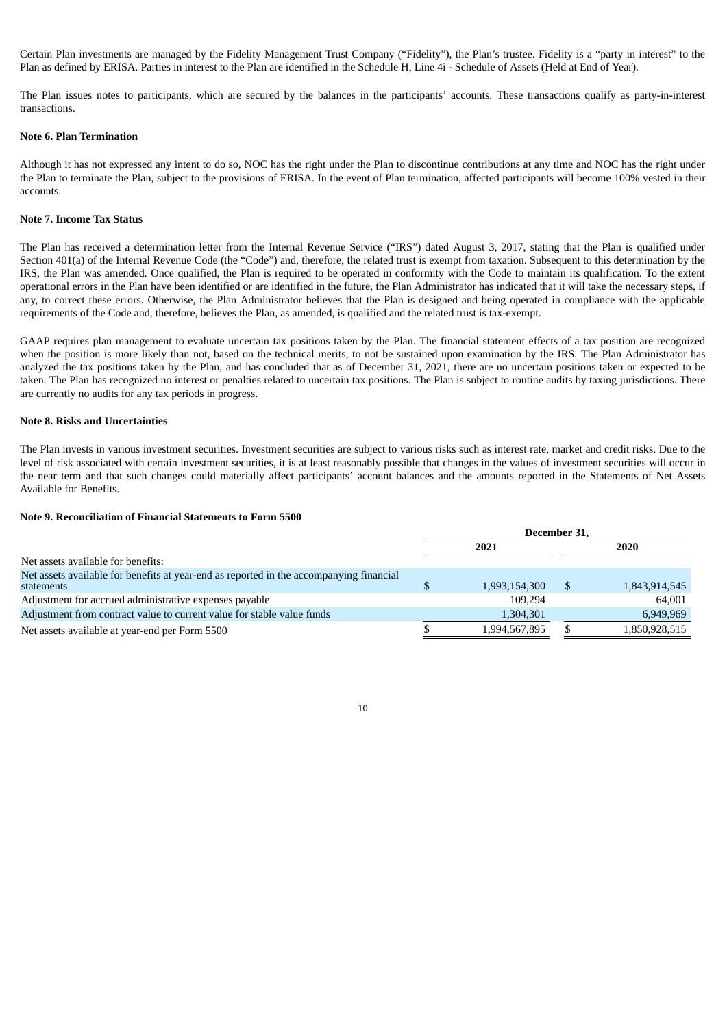Certain Plan investments are managed by the Fidelity Management Trust Company ("Fidelity"), the Plan's trustee. Fidelity is a "party in interest" to the Plan as defined by ERISA. Parties in interest to the Plan are identified in the Schedule H, Line 4i - Schedule of Assets (Held at End of Year).

The Plan issues notes to participants, which are secured by the balances in the participants' accounts. These transactions qualify as party-in-interest transactions.

#### **Note 6. Plan Termination**

Although it has not expressed any intent to do so, NOC has the right under the Plan to discontinue contributions at any time and NOC has the right under the Plan to terminate the Plan, subject to the provisions of ERISA. In the event of Plan termination, affected participants will become 100% vested in their accounts.

#### **Note 7. Income Tax Status**

The Plan has received a determination letter from the Internal Revenue Service ("IRS") dated August 3, 2017, stating that the Plan is qualified under Section 401(a) of the Internal Revenue Code (the "Code") and, therefore, the related trust is exempt from taxation. Subsequent to this determination by the IRS, the Plan was amended. Once qualified, the Plan is required to be operated in conformity with the Code to maintain its qualification. To the extent operational errors in the Plan have been identified or are identified in the future, the Plan Administrator has indicated that it will take the necessary steps, if any, to correct these errors. Otherwise, the Plan Administrator believes that the Plan is designed and being operated in compliance with the applicable requirements of the Code and, therefore, believes the Plan, as amended, is qualified and the related trust is tax-exempt.

GAAP requires plan management to evaluate uncertain tax positions taken by the Plan. The financial statement effects of a tax position are recognized when the position is more likely than not, based on the technical merits, to not be sustained upon examination by the IRS. The Plan Administrator has analyzed the tax positions taken by the Plan, and has concluded that as of December 31, 2021, there are no uncertain positions taken or expected to be taken. The Plan has recognized no interest or penalties related to uncertain tax positions. The Plan is subject to routine audits by taxing jurisdictions. There are currently no audits for any tax periods in progress.

#### **Note 8. Risks and Uncertainties**

The Plan invests in various investment securities. Investment securities are subject to various risks such as interest rate, market and credit risks. Due to the level of risk associated with certain investment securities, it is at least reasonably possible that changes in the values of investment securities will occur in the near term and that such changes could materially affect participants' account balances and the amounts reported in the Statements of Net Assets Available for Benefits.

#### **Note 9. Reconciliation of Financial Statements to Form 5500**

|                                                                                                       | December 31. |               |  |               |
|-------------------------------------------------------------------------------------------------------|--------------|---------------|--|---------------|
|                                                                                                       |              | 2021          |  | 2020          |
| Net assets available for benefits:                                                                    |              |               |  |               |
| Net assets available for benefits at year-end as reported in the accompanying financial<br>statements |              | 1,993,154,300 |  | 1,843,914,545 |
| Adjustment for accrued administrative expenses payable                                                |              | 109.294       |  | 64.001        |
| Adjustment from contract value to current value for stable value funds                                |              | 1,304,301     |  | 6,949,969     |
| Net assets available at year-end per Form 5500                                                        |              | 1,994,567,895 |  | 1,850,928,515 |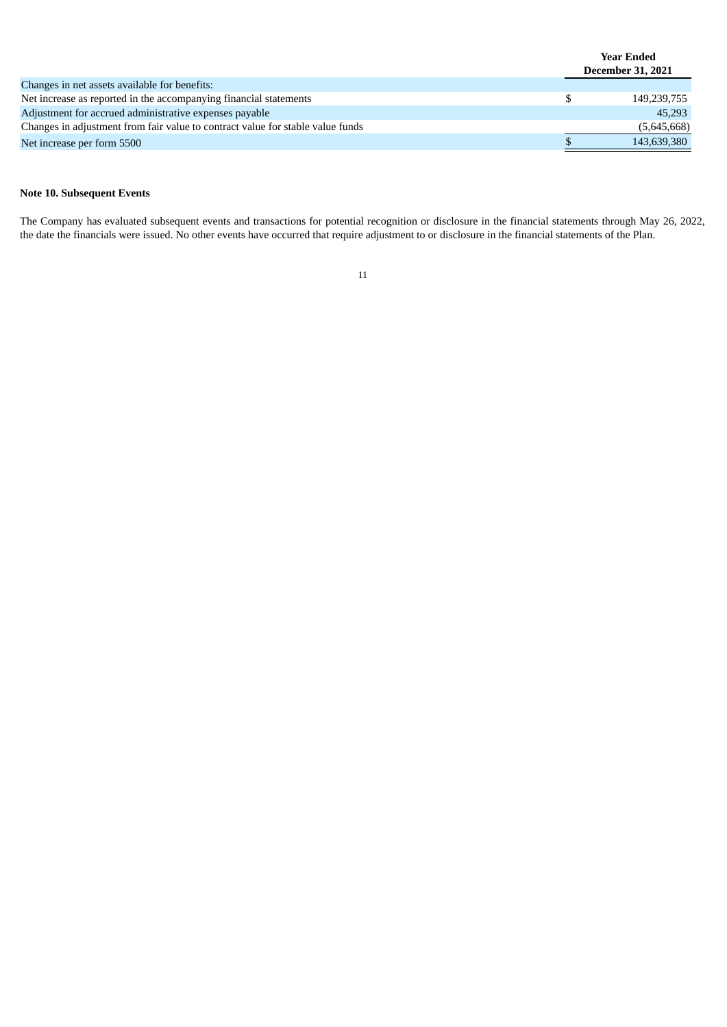|                                                                                | Year Ended<br><b>December 31, 2021</b> |
|--------------------------------------------------------------------------------|----------------------------------------|
| Changes in net assets available for benefits:                                  |                                        |
| Net increase as reported in the accompanying financial statements              | 149,239,755                            |
| Adjustment for accrued administrative expenses payable                         | 45,293                                 |
| Changes in adjustment from fair value to contract value for stable value funds | (5,645,668)                            |
| Net increase per form 5500                                                     | 143,639,380                            |

## **Note 10. Subsequent Events**

<span id="page-10-0"></span>The Company has evaluated subsequent events and transactions for potential recognition or disclosure in the financial statements through May 26, 2022, the date the financials were issued. No other events have occurred that require adjustment to or disclosure in the financial statements of the Plan.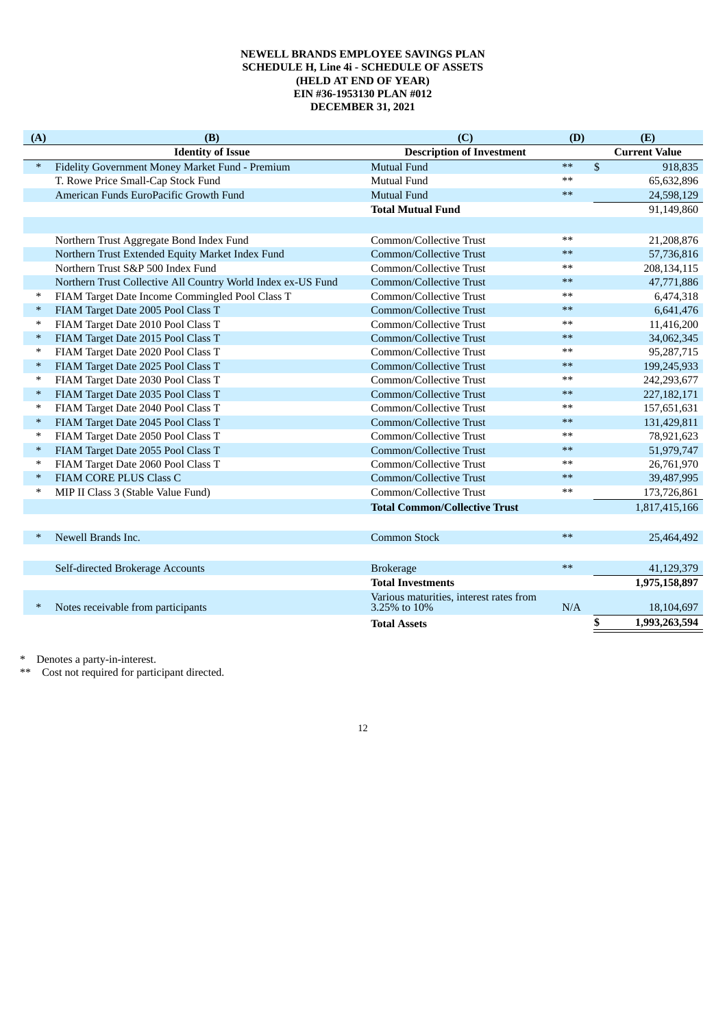## **NEWELL BRANDS EMPLOYEE SAVINGS PLAN SCHEDULE H, Line 4i - SCHEDULE OF ASSETS (HELD AT END OF YEAR) EIN #36-1953130 PLAN #012 DECEMBER 31, 2021**

| <b>Identity of Issue</b><br><b>Description of Investment</b><br><b>Current Value</b><br>\$<br>$\ast$<br>$**$<br>Fidelity Government Money Market Fund - Premium<br><b>Mutual Fund</b><br>918,835<br>$**$<br>T. Rowe Price Small-Cap Stock Fund<br><b>Mutual Fund</b><br>65,632,896<br>American Funds EuroPacific Growth Fund<br>$***$<br>24,598,129<br><b>Mutual Fund</b><br><b>Total Mutual Fund</b><br>91,149,860<br>Northern Trust Aggregate Bond Index Fund<br>Common/Collective Trust<br>$***$<br>21,208,876<br>Northern Trust Extended Equity Market Index Fund<br>Common/Collective Trust<br>$**$<br>57,736,816<br>Northern Trust S&P 500 Index Fund<br>Common/Collective Trust<br>208,134,115<br>$**$<br>47,771,886<br>Northern Trust Collective All Country World Index ex-US Fund<br>$***$<br>Common/Collective Trust<br>$\ast$<br>FIAM Target Date Income Commingled Pool Class T<br>Common/Collective Trust<br>$***$<br>6,474,318<br>FIAM Target Date 2005 Pool Class T<br>$**$<br>6,641,476<br>$\ast$<br>Common/Collective Trust<br>$\ast$<br>FIAM Target Date 2010 Pool Class T<br>Common/Collective Trust<br>$***$<br>11,416,200<br>$\ast$<br><b>Common/Collective Trust</b><br>FIAM Target Date 2015 Pool Class T<br>$***$<br>34,062,345<br>$\ast$<br>FIAM Target Date 2020 Pool Class T<br>Common/Collective Trust<br>$***$<br>95,287,715<br>$\ast$<br>FIAM Target Date 2025 Pool Class T<br>Common/Collective Trust<br>$**$<br>199,245,933<br>$\ast$<br>FIAM Target Date 2030 Pool Class T<br>$**$<br>Common/Collective Trust<br>242,293,677<br>Common/Collective Trust<br>$***$<br>$\ast$<br>FIAM Target Date 2035 Pool Class T<br>227, 182, 171<br>$\ast$<br>$***$<br>FIAM Target Date 2040 Pool Class T<br>Common/Collective Trust<br>157,651,631<br>$\ast$<br>FIAM Target Date 2045 Pool Class T<br>Common/Collective Trust<br>$***$<br>131,429,811<br>$\ast$<br>FIAM Target Date 2050 Pool Class T<br>Common/Collective Trust<br>$***$<br>78,921,623<br>$**$<br>51,979,747<br>$\ast$<br>FIAM Target Date 2055 Pool Class T<br>Common/Collective Trust<br>$\ast$<br>FIAM Target Date 2060 Pool Class T<br>Common/Collective Trust<br>$**$<br>26,761,970<br>FIAM CORE PLUS Class C<br>$**$<br>$\ast$<br>Common/Collective Trust<br>39,487,995<br>$\ast$<br>Common/Collective Trust<br>**<br>MIP II Class 3 (Stable Value Fund)<br>173,726,861<br><b>Total Common/Collective Trust</b><br>1,817,415,166<br>Newell Brands Inc.<br>$**$<br>$\ast$<br><b>Common Stock</b><br>25,464,492<br>$***$<br>Self-directed Brokerage Accounts<br><b>Brokerage</b><br>41,129,379<br><b>Total Investments</b><br>1,975,158,897<br>Various maturities, interest rates from<br>N/A<br>$\ast$<br>Notes receivable from participants<br>3.25% to 10%<br>18,104,697<br>\$<br>1,993,263,594<br><b>Total Assets</b> | (A) | (B) | (C) |  | (E) |
|--------------------------------------------------------------------------------------------------------------------------------------------------------------------------------------------------------------------------------------------------------------------------------------------------------------------------------------------------------------------------------------------------------------------------------------------------------------------------------------------------------------------------------------------------------------------------------------------------------------------------------------------------------------------------------------------------------------------------------------------------------------------------------------------------------------------------------------------------------------------------------------------------------------------------------------------------------------------------------------------------------------------------------------------------------------------------------------------------------------------------------------------------------------------------------------------------------------------------------------------------------------------------------------------------------------------------------------------------------------------------------------------------------------------------------------------------------------------------------------------------------------------------------------------------------------------------------------------------------------------------------------------------------------------------------------------------------------------------------------------------------------------------------------------------------------------------------------------------------------------------------------------------------------------------------------------------------------------------------------------------------------------------------------------------------------------------------------------------------------------------------------------------------------------------------------------------------------------------------------------------------------------------------------------------------------------------------------------------------------------------------------------------------------------------------------------------------------------------------------------------------------------------------------------------------------------------------------------------------------------------------------------------------------------------------------------------------------------------------------------------------------------------------------------------------------------|-----|-----|-----|--|-----|
|                                                                                                                                                                                                                                                                                                                                                                                                                                                                                                                                                                                                                                                                                                                                                                                                                                                                                                                                                                                                                                                                                                                                                                                                                                                                                                                                                                                                                                                                                                                                                                                                                                                                                                                                                                                                                                                                                                                                                                                                                                                                                                                                                                                                                                                                                                                                                                                                                                                                                                                                                                                                                                                                                                                                                                                                                    |     |     |     |  |     |
|                                                                                                                                                                                                                                                                                                                                                                                                                                                                                                                                                                                                                                                                                                                                                                                                                                                                                                                                                                                                                                                                                                                                                                                                                                                                                                                                                                                                                                                                                                                                                                                                                                                                                                                                                                                                                                                                                                                                                                                                                                                                                                                                                                                                                                                                                                                                                                                                                                                                                                                                                                                                                                                                                                                                                                                                                    |     |     |     |  |     |
|                                                                                                                                                                                                                                                                                                                                                                                                                                                                                                                                                                                                                                                                                                                                                                                                                                                                                                                                                                                                                                                                                                                                                                                                                                                                                                                                                                                                                                                                                                                                                                                                                                                                                                                                                                                                                                                                                                                                                                                                                                                                                                                                                                                                                                                                                                                                                                                                                                                                                                                                                                                                                                                                                                                                                                                                                    |     |     |     |  |     |
|                                                                                                                                                                                                                                                                                                                                                                                                                                                                                                                                                                                                                                                                                                                                                                                                                                                                                                                                                                                                                                                                                                                                                                                                                                                                                                                                                                                                                                                                                                                                                                                                                                                                                                                                                                                                                                                                                                                                                                                                                                                                                                                                                                                                                                                                                                                                                                                                                                                                                                                                                                                                                                                                                                                                                                                                                    |     |     |     |  |     |
|                                                                                                                                                                                                                                                                                                                                                                                                                                                                                                                                                                                                                                                                                                                                                                                                                                                                                                                                                                                                                                                                                                                                                                                                                                                                                                                                                                                                                                                                                                                                                                                                                                                                                                                                                                                                                                                                                                                                                                                                                                                                                                                                                                                                                                                                                                                                                                                                                                                                                                                                                                                                                                                                                                                                                                                                                    |     |     |     |  |     |
|                                                                                                                                                                                                                                                                                                                                                                                                                                                                                                                                                                                                                                                                                                                                                                                                                                                                                                                                                                                                                                                                                                                                                                                                                                                                                                                                                                                                                                                                                                                                                                                                                                                                                                                                                                                                                                                                                                                                                                                                                                                                                                                                                                                                                                                                                                                                                                                                                                                                                                                                                                                                                                                                                                                                                                                                                    |     |     |     |  |     |
|                                                                                                                                                                                                                                                                                                                                                                                                                                                                                                                                                                                                                                                                                                                                                                                                                                                                                                                                                                                                                                                                                                                                                                                                                                                                                                                                                                                                                                                                                                                                                                                                                                                                                                                                                                                                                                                                                                                                                                                                                                                                                                                                                                                                                                                                                                                                                                                                                                                                                                                                                                                                                                                                                                                                                                                                                    |     |     |     |  |     |
|                                                                                                                                                                                                                                                                                                                                                                                                                                                                                                                                                                                                                                                                                                                                                                                                                                                                                                                                                                                                                                                                                                                                                                                                                                                                                                                                                                                                                                                                                                                                                                                                                                                                                                                                                                                                                                                                                                                                                                                                                                                                                                                                                                                                                                                                                                                                                                                                                                                                                                                                                                                                                                                                                                                                                                                                                    |     |     |     |  |     |
|                                                                                                                                                                                                                                                                                                                                                                                                                                                                                                                                                                                                                                                                                                                                                                                                                                                                                                                                                                                                                                                                                                                                                                                                                                                                                                                                                                                                                                                                                                                                                                                                                                                                                                                                                                                                                                                                                                                                                                                                                                                                                                                                                                                                                                                                                                                                                                                                                                                                                                                                                                                                                                                                                                                                                                                                                    |     |     |     |  |     |
|                                                                                                                                                                                                                                                                                                                                                                                                                                                                                                                                                                                                                                                                                                                                                                                                                                                                                                                                                                                                                                                                                                                                                                                                                                                                                                                                                                                                                                                                                                                                                                                                                                                                                                                                                                                                                                                                                                                                                                                                                                                                                                                                                                                                                                                                                                                                                                                                                                                                                                                                                                                                                                                                                                                                                                                                                    |     |     |     |  |     |
|                                                                                                                                                                                                                                                                                                                                                                                                                                                                                                                                                                                                                                                                                                                                                                                                                                                                                                                                                                                                                                                                                                                                                                                                                                                                                                                                                                                                                                                                                                                                                                                                                                                                                                                                                                                                                                                                                                                                                                                                                                                                                                                                                                                                                                                                                                                                                                                                                                                                                                                                                                                                                                                                                                                                                                                                                    |     |     |     |  |     |
|                                                                                                                                                                                                                                                                                                                                                                                                                                                                                                                                                                                                                                                                                                                                                                                                                                                                                                                                                                                                                                                                                                                                                                                                                                                                                                                                                                                                                                                                                                                                                                                                                                                                                                                                                                                                                                                                                                                                                                                                                                                                                                                                                                                                                                                                                                                                                                                                                                                                                                                                                                                                                                                                                                                                                                                                                    |     |     |     |  |     |
|                                                                                                                                                                                                                                                                                                                                                                                                                                                                                                                                                                                                                                                                                                                                                                                                                                                                                                                                                                                                                                                                                                                                                                                                                                                                                                                                                                                                                                                                                                                                                                                                                                                                                                                                                                                                                                                                                                                                                                                                                                                                                                                                                                                                                                                                                                                                                                                                                                                                                                                                                                                                                                                                                                                                                                                                                    |     |     |     |  |     |
|                                                                                                                                                                                                                                                                                                                                                                                                                                                                                                                                                                                                                                                                                                                                                                                                                                                                                                                                                                                                                                                                                                                                                                                                                                                                                                                                                                                                                                                                                                                                                                                                                                                                                                                                                                                                                                                                                                                                                                                                                                                                                                                                                                                                                                                                                                                                                                                                                                                                                                                                                                                                                                                                                                                                                                                                                    |     |     |     |  |     |
|                                                                                                                                                                                                                                                                                                                                                                                                                                                                                                                                                                                                                                                                                                                                                                                                                                                                                                                                                                                                                                                                                                                                                                                                                                                                                                                                                                                                                                                                                                                                                                                                                                                                                                                                                                                                                                                                                                                                                                                                                                                                                                                                                                                                                                                                                                                                                                                                                                                                                                                                                                                                                                                                                                                                                                                                                    |     |     |     |  |     |
|                                                                                                                                                                                                                                                                                                                                                                                                                                                                                                                                                                                                                                                                                                                                                                                                                                                                                                                                                                                                                                                                                                                                                                                                                                                                                                                                                                                                                                                                                                                                                                                                                                                                                                                                                                                                                                                                                                                                                                                                                                                                                                                                                                                                                                                                                                                                                                                                                                                                                                                                                                                                                                                                                                                                                                                                                    |     |     |     |  |     |
|                                                                                                                                                                                                                                                                                                                                                                                                                                                                                                                                                                                                                                                                                                                                                                                                                                                                                                                                                                                                                                                                                                                                                                                                                                                                                                                                                                                                                                                                                                                                                                                                                                                                                                                                                                                                                                                                                                                                                                                                                                                                                                                                                                                                                                                                                                                                                                                                                                                                                                                                                                                                                                                                                                                                                                                                                    |     |     |     |  |     |
|                                                                                                                                                                                                                                                                                                                                                                                                                                                                                                                                                                                                                                                                                                                                                                                                                                                                                                                                                                                                                                                                                                                                                                                                                                                                                                                                                                                                                                                                                                                                                                                                                                                                                                                                                                                                                                                                                                                                                                                                                                                                                                                                                                                                                                                                                                                                                                                                                                                                                                                                                                                                                                                                                                                                                                                                                    |     |     |     |  |     |
|                                                                                                                                                                                                                                                                                                                                                                                                                                                                                                                                                                                                                                                                                                                                                                                                                                                                                                                                                                                                                                                                                                                                                                                                                                                                                                                                                                                                                                                                                                                                                                                                                                                                                                                                                                                                                                                                                                                                                                                                                                                                                                                                                                                                                                                                                                                                                                                                                                                                                                                                                                                                                                                                                                                                                                                                                    |     |     |     |  |     |
|                                                                                                                                                                                                                                                                                                                                                                                                                                                                                                                                                                                                                                                                                                                                                                                                                                                                                                                                                                                                                                                                                                                                                                                                                                                                                                                                                                                                                                                                                                                                                                                                                                                                                                                                                                                                                                                                                                                                                                                                                                                                                                                                                                                                                                                                                                                                                                                                                                                                                                                                                                                                                                                                                                                                                                                                                    |     |     |     |  |     |
|                                                                                                                                                                                                                                                                                                                                                                                                                                                                                                                                                                                                                                                                                                                                                                                                                                                                                                                                                                                                                                                                                                                                                                                                                                                                                                                                                                                                                                                                                                                                                                                                                                                                                                                                                                                                                                                                                                                                                                                                                                                                                                                                                                                                                                                                                                                                                                                                                                                                                                                                                                                                                                                                                                                                                                                                                    |     |     |     |  |     |
|                                                                                                                                                                                                                                                                                                                                                                                                                                                                                                                                                                                                                                                                                                                                                                                                                                                                                                                                                                                                                                                                                                                                                                                                                                                                                                                                                                                                                                                                                                                                                                                                                                                                                                                                                                                                                                                                                                                                                                                                                                                                                                                                                                                                                                                                                                                                                                                                                                                                                                                                                                                                                                                                                                                                                                                                                    |     |     |     |  |     |
|                                                                                                                                                                                                                                                                                                                                                                                                                                                                                                                                                                                                                                                                                                                                                                                                                                                                                                                                                                                                                                                                                                                                                                                                                                                                                                                                                                                                                                                                                                                                                                                                                                                                                                                                                                                                                                                                                                                                                                                                                                                                                                                                                                                                                                                                                                                                                                                                                                                                                                                                                                                                                                                                                                                                                                                                                    |     |     |     |  |     |
|                                                                                                                                                                                                                                                                                                                                                                                                                                                                                                                                                                                                                                                                                                                                                                                                                                                                                                                                                                                                                                                                                                                                                                                                                                                                                                                                                                                                                                                                                                                                                                                                                                                                                                                                                                                                                                                                                                                                                                                                                                                                                                                                                                                                                                                                                                                                                                                                                                                                                                                                                                                                                                                                                                                                                                                                                    |     |     |     |  |     |
|                                                                                                                                                                                                                                                                                                                                                                                                                                                                                                                                                                                                                                                                                                                                                                                                                                                                                                                                                                                                                                                                                                                                                                                                                                                                                                                                                                                                                                                                                                                                                                                                                                                                                                                                                                                                                                                                                                                                                                                                                                                                                                                                                                                                                                                                                                                                                                                                                                                                                                                                                                                                                                                                                                                                                                                                                    |     |     |     |  |     |
|                                                                                                                                                                                                                                                                                                                                                                                                                                                                                                                                                                                                                                                                                                                                                                                                                                                                                                                                                                                                                                                                                                                                                                                                                                                                                                                                                                                                                                                                                                                                                                                                                                                                                                                                                                                                                                                                                                                                                                                                                                                                                                                                                                                                                                                                                                                                                                                                                                                                                                                                                                                                                                                                                                                                                                                                                    |     |     |     |  |     |
|                                                                                                                                                                                                                                                                                                                                                                                                                                                                                                                                                                                                                                                                                                                                                                                                                                                                                                                                                                                                                                                                                                                                                                                                                                                                                                                                                                                                                                                                                                                                                                                                                                                                                                                                                                                                                                                                                                                                                                                                                                                                                                                                                                                                                                                                                                                                                                                                                                                                                                                                                                                                                                                                                                                                                                                                                    |     |     |     |  |     |
|                                                                                                                                                                                                                                                                                                                                                                                                                                                                                                                                                                                                                                                                                                                                                                                                                                                                                                                                                                                                                                                                                                                                                                                                                                                                                                                                                                                                                                                                                                                                                                                                                                                                                                                                                                                                                                                                                                                                                                                                                                                                                                                                                                                                                                                                                                                                                                                                                                                                                                                                                                                                                                                                                                                                                                                                                    |     |     |     |  |     |
|                                                                                                                                                                                                                                                                                                                                                                                                                                                                                                                                                                                                                                                                                                                                                                                                                                                                                                                                                                                                                                                                                                                                                                                                                                                                                                                                                                                                                                                                                                                                                                                                                                                                                                                                                                                                                                                                                                                                                                                                                                                                                                                                                                                                                                                                                                                                                                                                                                                                                                                                                                                                                                                                                                                                                                                                                    |     |     |     |  |     |
|                                                                                                                                                                                                                                                                                                                                                                                                                                                                                                                                                                                                                                                                                                                                                                                                                                                                                                                                                                                                                                                                                                                                                                                                                                                                                                                                                                                                                                                                                                                                                                                                                                                                                                                                                                                                                                                                                                                                                                                                                                                                                                                                                                                                                                                                                                                                                                                                                                                                                                                                                                                                                                                                                                                                                                                                                    |     |     |     |  |     |
|                                                                                                                                                                                                                                                                                                                                                                                                                                                                                                                                                                                                                                                                                                                                                                                                                                                                                                                                                                                                                                                                                                                                                                                                                                                                                                                                                                                                                                                                                                                                                                                                                                                                                                                                                                                                                                                                                                                                                                                                                                                                                                                                                                                                                                                                                                                                                                                                                                                                                                                                                                                                                                                                                                                                                                                                                    |     |     |     |  |     |
|                                                                                                                                                                                                                                                                                                                                                                                                                                                                                                                                                                                                                                                                                                                                                                                                                                                                                                                                                                                                                                                                                                                                                                                                                                                                                                                                                                                                                                                                                                                                                                                                                                                                                                                                                                                                                                                                                                                                                                                                                                                                                                                                                                                                                                                                                                                                                                                                                                                                                                                                                                                                                                                                                                                                                                                                                    |     |     |     |  |     |
|                                                                                                                                                                                                                                                                                                                                                                                                                                                                                                                                                                                                                                                                                                                                                                                                                                                                                                                                                                                                                                                                                                                                                                                                                                                                                                                                                                                                                                                                                                                                                                                                                                                                                                                                                                                                                                                                                                                                                                                                                                                                                                                                                                                                                                                                                                                                                                                                                                                                                                                                                                                                                                                                                                                                                                                                                    |     |     |     |  |     |

\* Denotes a party-in-interest.

<span id="page-11-0"></span>\*\* Cost not required for participant directed.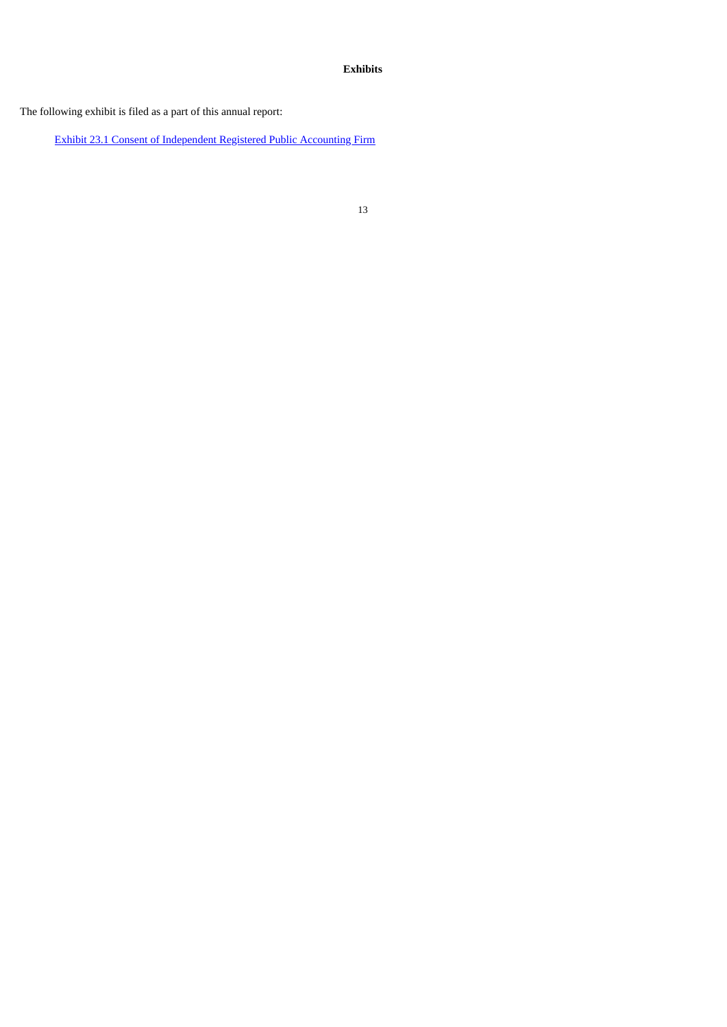## **Exhibits**

The following exhibit is filed as a part of this annual report:

Exhibit 23.1 Consent of [Independent](#page-14-0) Registered Public Accounting Firm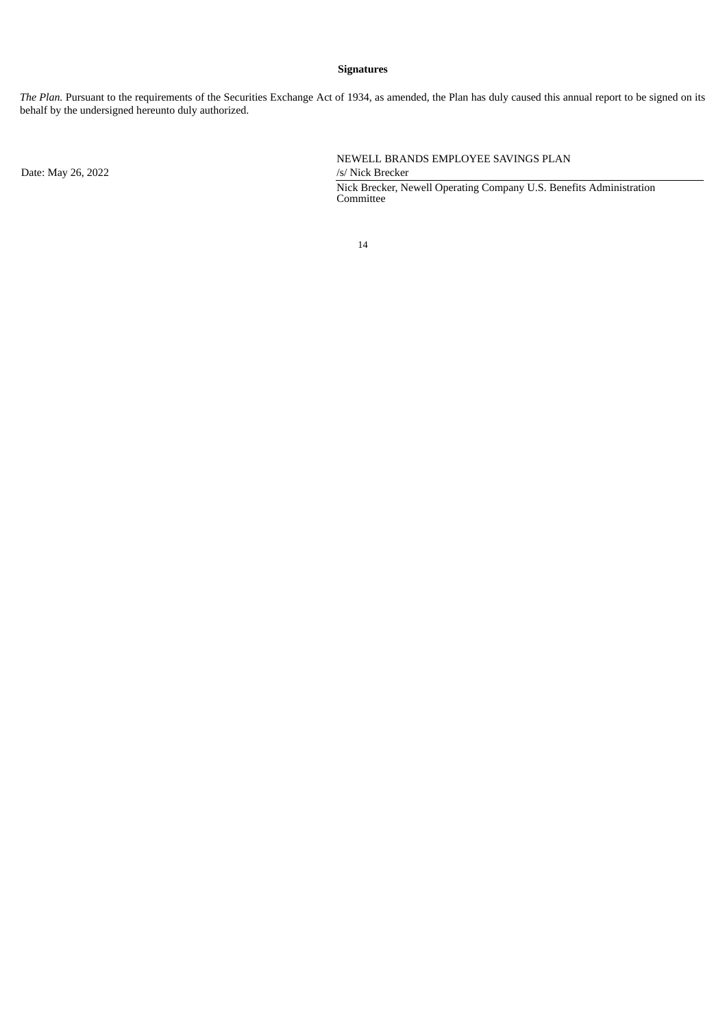## **Signatures**

<span id="page-13-0"></span>*The Plan.* Pursuant to the requirements of the Securities Exchange Act of 1934, as amended, the Plan has duly caused this annual report to be signed on its behalf by the undersigned hereunto duly authorized.

NEWELL BRANDS EMPLOYEE SAVINGS PLAN Date: May 26, 2022 /s/ Nick Brecker Nick Brecker, Newell Operating Company U.S. Benefits Administration Committee